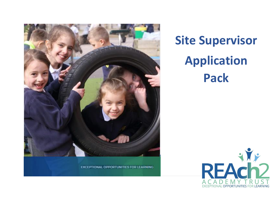

**EXCEPTIONAL OPPORTUNITIES FOR LEARNING** 

# **Site Supervisor Application Pack**

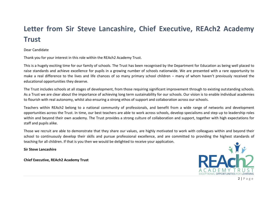### **Letter from Sir Steve Lancashire, Chief Executive, REAch2 Academy Trust**

#### Dear Candidate

Thank you for your interest in this role within the REAch2 Academy Trust.

This is a hugely exciting time for our family of schools. The Trust has been recognised by the Department for Education as being well placed to raise standards and achieve excellence for pupils in a growing number of schools nationwide. We are presented with a rare opportunity to make a real difference to the lives and life chances of so many primary school children – many of whom haven't previously received the educational opportunities they deserve.

The Trust includes schools at all stages of development, from those requiring significant improvement through to existing outstanding schools. As a Trust we are clear about the importance of achieving long term sustainability for our schools. Our vision is to enable individual academies to flourish with real autonomy, whilst also ensuring a strong ethos of support and collaboration across our schools.

Teachers within REAch2 belong to a national community of professionals, and benefit from a wide range of networks and development opportunities across the Trust. In time, our best teachers are able to work across schools, develop specialisms and step up to leadership roles within and beyond their own academy. The Trust provides a strong culture of collaboration and support, together with high expectations for staff and pupils alike.

Those we recruit are able to demonstrate that they share our values, are highly motivated to work with colleagues within and beyond their school to continuously develop their skills and pursue professional excellence, and are committed to providing the highest standards of teaching for all children. If that is you then we would be delighted to receive your application.

#### **Sir Steve Lancashire**

**Chief Executive, REAch2 Academy Trust**

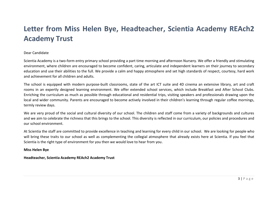### **Letter from Miss Helen Bye, Headteacher, Scientia Academy REAch2 Academy Trust**

#### Dear Candidate

Scientia Academy is a two-form entry primary school providing a part time morning and afternoon Nursery. We offer a friendly and stimulating environment, where children are encouraged to become confident, caring, articulate and independent learners on their journey to secondary education and use their abilities to the full. We provide a calm and happy atmosphere and set high standards of respect, courtesy, hard work and achievement for all children and adults.

The school is equipped with modern purpose-built classrooms, state of the art ICT suite and 4D cinema an extensive library, art and craft rooms in an expertly designed learning environment. We offer extended school services, which include Breakfast and After School Clubs. Enriching the curriculum as much as possible through educational and residential trips, visiting speakers and professionals drawing upon the local and wider community. Parents are encouraged to become actively involved in their children's learning through regular coffee mornings, termly review days.

We are very proud of the social and cultural diversity of our school. The children and staff come from a variety of backgrounds and cultures and we aim to celebrate the richness that this brings to the school. This diversity is reflected in our curriculum, our policies and procedures and our school environment.

At Scientia the staff are committed to provide excellence in teaching and learning for every child in our school. We are looking for people who will bring these traits to our school as well as complementing the collegial atmosphere that already exists here at Scientia. If you feel that Scientia is the right type of environment for you then we would love to hear from you.

#### **Miss Helen Bye**

**Headteacher, Scientia Academy REAch2 Academy Trust**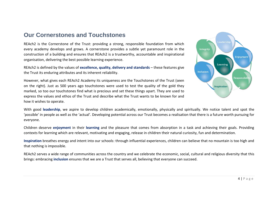### **Our Cornerstones and Touchstones**

REAch2 is the Cornerstone of the Trust: providing a strong, responsible foundation from which every academy develops and grows. A cornerstone provides a subtle yet paramount role in the construction of a building and ensures that REAch2 is a trustworthy, accountable and inspirational organisation, delivering the best possible learning experience.

REAch2 is defined by the values of **excellence, quality, delivery and standards** – these features give the Trust its enduring attributes and its inherent reliability.

However, what gives each REAch2 Academy its uniqueness are the Touchstones of the Trust (seen on the right). Just as 500 years ago touchstones were used to test the quality of the gold they marked, so too our touchstones find what is precious and set these things apart. They are used to express the values and ethos of the Trust and describe what the Trust wants to be known for and how it wishes to operate.



With good **leadership**, we aspire to develop children academically, emotionally, physically and spiritually. We notice talent and spot the 'possible' in people as well as the 'actual'. Developing potential across our Trust becomes a realisation that there is a future worth pursuing for everyone.

Children deserve **enjoyment** in their **learning** and the pleasure that comes from absorption in a task and achieving their goals. Providing contexts for learning which are relevant, motivating and engaging, release in children their natural curiosity, fun and determination.

**Inspiration** breathes energy and intent into our schools: through influential experiences, children can believe that no mountain is too high and that nothing is impossible.

REAch2 serves a wide range of communities across the country and we celebrate the economic, social, cultural and religious diversity that this brings: embracing **inclusion** ensures that we are a Trust that serves all, believing that everyone can succeed.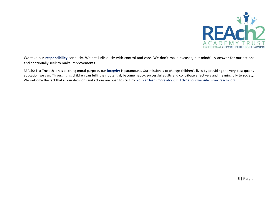

We take our **responsibility** seriously. We act judiciously with control and care. We don't make excuses, but mindfully answer for our actions and continually seek to make improvements.

REAch2 is a Trust that has a strong moral purpose, our **integrity** is paramount. Our mission is to change children's lives by providing the very best quality education we can. Through this, children can fulfil their potential, become happy, successful adults and contribute effectively and meaningfully to society. We welcome the fact that all our decisions and actions are open to scrutiny. You can learn more about REAch2 at our website: [www.reach2.org](http://www.reach2.org/)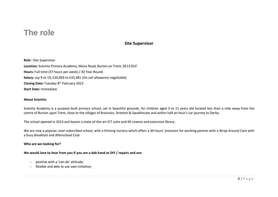### **The role**

#### **Site Supervisor**

**Role :** Site Supervisor **Location:** Scientia Primary Academy, Mona Road, Burton on Trent, DE13 0UF **Hours:** Full-time (37 hours per week) / All Year Round **Salary:** scp 9 to 19, £20,903 to £25,481 (On call allowance negotiable) **Closing Date:** Tuesday 8th February 2022 **Start Date:** Immediate

#### **About Scientia:**

Scientia Academy is a purpose-built primary school, set in beautiful grounds, for children aged 3 to 11 years old located less than a mile away from the centre of Burton upon Trent, close to the villages of Branston, Stretton & Swadlincote and within half an hour's car journey to Derby.

The school opened in 2013 and boasts a state-of-the-art ICT suite and 4D cinema and extensive library.

We are now a popular, over-subscribed school, with a thriving nursery which offers a 30 hours' provision for working parents with a Wrap Around Care with a busy Breakfast and Afterschool Club

#### **Who are we looking for?**

#### **We would love to hear from you if you are a dab hand at DIY / repairs and are:**

- − positive with a 'can-do' attitude;
- − flexible and able to use own initiative;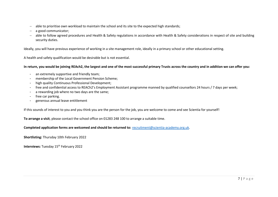- able to prioritise own workload to maintain the school and its site to the expected high standards;
- a good communicator;
- − able to follow agreed procedures and Health & Safety regulations in accordance with Health & Safety considerations in respect of site and building security duties.

Ideally, you will have previous experience of working in a site management role, ideally in a primary school or other educational setting.

A health and safety qualification would be desirable but is not essential.

#### **In return, you would be joining REAch2, the largest and one of the most successful primary Trusts across the country and in addition we can offer you:**

- an extremely supportive and friendly team;
- membership of the Local Government Pension Scheme:
- high quality Continuous Professional Development;
- free and confidential access to REACh2's Employment Assistant programme manned by qualified counsellors 24 hours / 7 days per week;
- a rewarding job where no two days are the same;
- free car parking.
- generous annual leave entitlement

If this sounds of interest to you and you think you are the person for the job, you are welcome to come and see Scientia for yourself!

**To arrange a visit**, please contact the school office on 01283 248 100 to arrange a suitable time.

#### **Completed application forms are welcomed and should be returned to:** [recruitment@scientia-academy.org.uk.](mailto:recruitment@scientia-academy.org.uk)

**Shortlisting:** Thursday 10th February 2022

**Interviews:** Tuesday 15<sup>th</sup> February 2022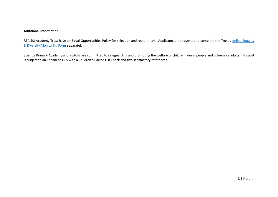#### **Additional Information**

REAch2 Academy Trust have an Equal Opportunities Policy for selection and recruitment. Applicants are requested to complete the Trust's online Equality [& Diversity Monitoring Form](https://forms.office.com/Pages/ResponsePage.aspx?id=EGorfMwEtEi30d9QFOXXNJ4DEcgd411KhzIQrNunT_hUMlJXTkhNVlE0SlhKV0FWTEk2Wkw1TTUwRS4u) separately.

Scientia Primary Academy and REAch2 are committed to safeguarding and promoting the welfare of children, young people and vulnerable adults. This post is subject to an Enhanced DBS with a Children's Barred List Check and two satisfactory references.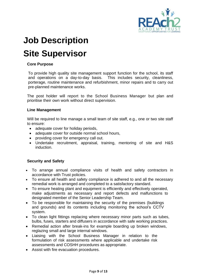

### **Job Description**

### **Site Supervisor**

#### **Core Purpose**

To provide high quality site management support function for the school, its staff and operations on a day-to-day basis. This includes security, cleanliness, porterage, routine maintenance and refurbishment, minor repairs and to carry out pre-planned maintenance works.

The post holder will report to the School Business Manager but plan and prioritise their own work without direct supervision.

#### **Line Management**

Will be required to line manage a small team of site staff, e.g., one or two site staff to ensure:

- adequate cover for holiday periods,
- adequate cover for outside normal school hours,
- providing cover for emergency call out.
- Undertake recruitment, appraisal, training, mentoring of site and H&S induction.

#### **Security and Safety**

- To arrange annual compliance visits of health and safety contractors in accordance with Trust policies.
- To ensure all health and safety compliance is adhered to and all the necessary remedial work is arranged and completed to a satisfactory standard.
- To ensure heating plant and equipment is efficiently and effectively operated, make adjustments as necessary and report defects and malfunctions to designated member of the Senior Leadership Team.
- To be responsible for maintaining the security of the premises (buildings and grounds) and its contents including monitoring the school's CCTV system.
- To clean light fittings replacing where necessary minor parts such as tubes, bulbs, fuses, starters and diffusers in accordance with safe working practices.
- Remedial action after break-ins for example boarding up broken windows, reglazing small and large internal windows.
- Liaising with the School Business Manager in relation to the formulation of risk assessments where applicable and undertake risk assessments and COSHH procedures as appropriate.
- Assist with fire evacuation procedures.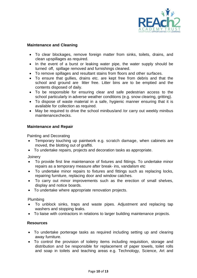

#### **Maintenance and Cleaning**

- To clear blockages, remove foreign matter from sinks, toilets, drains, and clean upspillages as required.
- In the event of a burst or leaking water pipe, the water supply should be turned off, spillage removed and furnishings cleaned.
- To remove spillages and resultant stains from floors and other surfaces.
- To ensure that gullies, drains etc. are kept free from debris and that the school and ground are litter free. Litter bins are to be emptied and the contents disposed of daily.
- To be responsible for ensuring clear and safe pedestrian access to the school particularly in adverse weather conditions (e.g. snow clearing, gritting).
- To dispose of waste material in a safe, hygienic manner ensuring that it is available for collection as required.
- May be required to drive the school minibus/and /or carry out weekly minibus maintenancechecks.

#### **Maintenance and Repair**

Painting and Decorating

- Temporary touching up paintwork e.g. scratch damage, when cabinets are moved, the blotting out of graffiti.
- To undertake repairs, projects and decoration tasks as appropriate.

**Joinery** 

- To provide first line maintenance of fixtures and fittings. To undertake minor repairs as a temporary measure after break- ins, vandalism etc
- To undertake minor repairs to fixtures and fittings such as replacing locks, repairing furniture, replacing door and window catches.
- To carry out minor improvements such as the erection of small shelves, display and notice boards.
- To undertake where appropriate renovation projects.

Plumbing

- To unblock sinks, traps and waste pipes. Adjustment and replacing tap washers and stopping leaks.
- To liaise with contractors in relations to larger building maintenance projects.

#### **Resources**

- To undertake porterage tasks as required including setting up and clearing away furniture.
- To control the provision of toiletry items including requisition, storage and distribution and be responsible for replacement of paper towels, toilet rolls and soap in toilets and teaching areas e.g. Technology, Science, Art and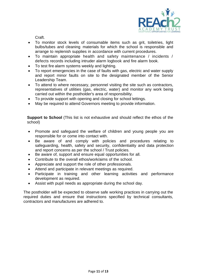

Craft.

- To monitor stock levels of consumable items such as grit, toiletries, light bulbs/tubes and cleaning materials for which the school is responsible and arrange to replenish supplies in accordance with current procedures.
- To maintain appropriate health and safety maintenance / incidents / defects records including intruder alarm logbook and fire alarm book.
- To test fire alarm systems weekly and lighting.
- To report emergencies in the case of faults with gas, electric and water supply and report minor faults on site to the designated member of the Senior Leadership Team.
- To attend to where necessary, personnel visiting the site such as contractors, representatives of utilities (gas, electric, water) and monitor any work being carried out within the postholder's area of responsibility.
- To provide support with opening and closing for school lettings.
- May be required to attend Governors meeting to provide information.

**Support to School** (This list is not exhaustive and should reflect the ethos of the school)

- Promote and safeguard the welfare of children and young people you are responsible for or come into contact with.
- Be aware of and comply with policies and procedures relating to safeguarding, health, safety and security, confidentiality and data protection and report concerns as per the school / Trust policies.
- Be aware of, support and ensure equal opportunities for all.
- Contribute to the overall ethos/work/aims of the school.
- Appreciate and support the role of other professionals.
- Attend and participate in relevant meetings as required.
- Participate in training and other learning activities and performance development as required.
- Assist with pupil needs as appropriate during the school day.

The postholder will be expected to observe safe working practices in carrying out the required duties and ensure that instructions specified by technical consultants, contractors and manufactures are adhered to.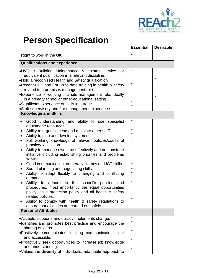

## **Person Specification**

|                                                                                                                                                                                                                                                                                                                                                                                                                                                                                                                                                                                                                                                                                                                                                                                                                                                                                                                                                                                    | <b>Essential</b>                                                                                 | <b>Desirable</b>           |  |
|------------------------------------------------------------------------------------------------------------------------------------------------------------------------------------------------------------------------------------------------------------------------------------------------------------------------------------------------------------------------------------------------------------------------------------------------------------------------------------------------------------------------------------------------------------------------------------------------------------------------------------------------------------------------------------------------------------------------------------------------------------------------------------------------------------------------------------------------------------------------------------------------------------------------------------------------------------------------------------|--------------------------------------------------------------------------------------------------|----------------------------|--|
| Right to work in the UK                                                                                                                                                                                                                                                                                                                                                                                                                                                                                                                                                                                                                                                                                                                                                                                                                                                                                                                                                            | $\star$                                                                                          |                            |  |
| <b>Qualifications and experience</b>                                                                                                                                                                                                                                                                                                                                                                                                                                                                                                                                                                                                                                                                                                                                                                                                                                                                                                                                               |                                                                                                  |                            |  |
| NVQ 3 Building Maintenance & estates service, or<br>equivalent qualification in a relevant discipline.<br>•Hold a recognised Health and Safety qualification<br>•Recent CPD and / or up to date training in health & safety<br>related to a premises management role.<br>Experience of working in a site management role, ideally<br>in a primary school or other educational setting.<br>Significant experience or skills in a trade.                                                                                                                                                                                                                                                                                                                                                                                                                                                                                                                                             | $\star$<br>*<br>$\ast$<br>$\ast$                                                                 | $\ast$<br>$\ast$<br>$\ast$ |  |
| •Staff supervisory and / or management experience.<br><b>Knowledge and Skills</b>                                                                                                                                                                                                                                                                                                                                                                                                                                                                                                                                                                                                                                                                                                                                                                                                                                                                                                  |                                                                                                  |                            |  |
| Good understanding and ability to use specialist<br>$\bullet$<br>equipment/ resources.<br>Ability to organise, lead and motivate other staff.<br>$\bullet$<br>Ability to plan and develop systems.<br>٠<br>Full working knowledge of relevant policies/codes of<br>$\bullet$<br>practice/ legislation.<br>Ability to manage own time effectively and demonstrate<br>$\bullet$<br>initiative including establishing priorities and problems<br>solving.<br>Good communication, numeracy literacy and ICT skills.<br>$\bullet$<br>Sound planning and negotiating skills.<br>٠<br>Ability to adapt flexibly to changing and conflicting<br>$\bullet$<br>demands.<br>Ability to adhere to the school's policies<br>and<br>$\bullet$<br>procedures, most importantly the equal opportunities<br>policy, child protection policy and all health & safety<br>related policies.<br>Ability to comply with health & safety regulations to<br>ensure that all duties are carried out safely. | $\ast$<br>$\ast$<br>$\ast$<br>$\ast$<br>$\ast$<br>$\ast$<br>$\ast$<br>$\ast$<br>$\ast$<br>$\ast$ |                            |  |
| <b>Personal Attributes</b>                                                                                                                                                                                                                                                                                                                                                                                                                                                                                                                                                                                                                                                                                                                                                                                                                                                                                                                                                         |                                                                                                  |                            |  |
| • Accepts, supports and quickly implements change.<br><b>I</b> ldentifies and promotes best practice and encourage the<br>sharing of ideas.<br>·Positively communicates, making communication clear<br>and accessible,<br>• Proactively seek opportunities to increase job knowledge                                                                                                                                                                                                                                                                                                                                                                                                                                                                                                                                                                                                                                                                                               | $\ast$<br>*<br>$\ast$<br>$\ast$                                                                  |                            |  |
| and understanding.<br>•Values the diversity of individuals, adaptable approach to                                                                                                                                                                                                                                                                                                                                                                                                                                                                                                                                                                                                                                                                                                                                                                                                                                                                                                  | $\ast$                                                                                           |                            |  |